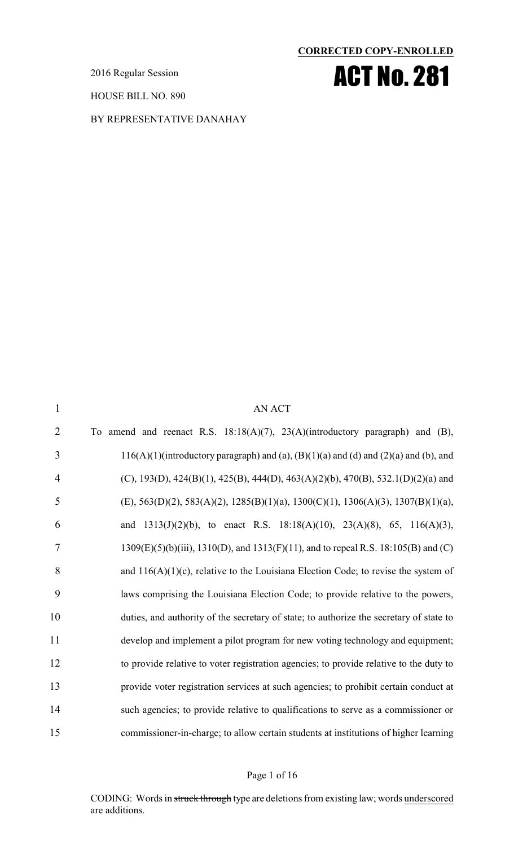2016 Regular Session

HOUSE BILL NO. 890

BY REPRESENTATIVE DANAHAY

#### **CORRECTED COPY-ENROLLED**



| $\mathbf{1}$   | <b>AN ACT</b>                                                                             |
|----------------|-------------------------------------------------------------------------------------------|
| $\overline{2}$ | To amend and reenact R.S. $18:18(A)(7)$ , $23(A)(\text{introductory paragraph})$ and (B), |
| 3              | 116(A)(1)(introductory paragraph) and (a), (B)(1)(a) and (d) and (2)(a) and (b), and      |
| $\overline{4}$ | (C), 193(D), 424(B)(1), 425(B), 444(D), 463(A)(2)(b), 470(B), 532.1(D)(2)(a) and          |
| 5              | $(E)$ , 563(D)(2), 583(A)(2), 1285(B)(1)(a), 1300(C)(1), 1306(A)(3), 1307(B)(1)(a),       |
| 6              | and $1313(J)(2)(b)$ , to enact R.S. $18:18(A)(10)$ , $23(A)(8)$ , 65, $116(A)(3)$ ,       |
| $\overline{7}$ | 1309(E)(5)(b)(iii), 1310(D), and 1313(F)(11), and to repeal R.S. 18:105(B) and (C)        |
| 8              | and $116(A)(1)(c)$ , relative to the Louisiana Election Code; to revise the system of     |
| 9              | laws comprising the Louisiana Election Code; to provide relative to the powers,           |
| 10             | duties, and authority of the secretary of state; to authorize the secretary of state to   |
| 11             | develop and implement a pilot program for new voting technology and equipment;            |
| 12             | to provide relative to voter registration agencies; to provide relative to the duty to    |
| 13             | provide voter registration services at such agencies; to prohibit certain conduct at      |
| 14             | such agencies; to provide relative to qualifications to serve as a commissioner or        |
| 15             | commissioner-in-charge; to allow certain students at institutions of higher learning      |

#### Page 1 of 16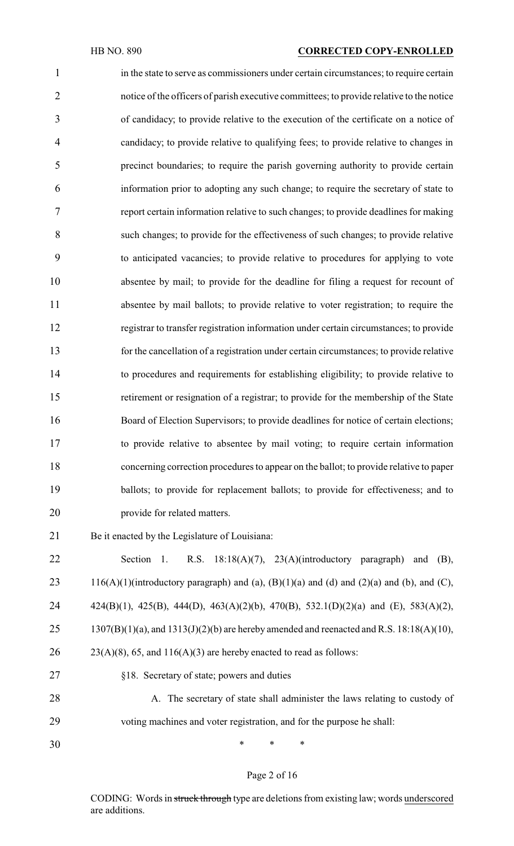#### HB NO. 890 **CORRECTED COPY-ENROLLED**

 in the state to serve as commissioners under certain circumstances; to require certain notice of the officers of parish executive committees; to provide relative to the notice of candidacy; to provide relative to the execution of the certificate on a notice of candidacy; to provide relative to qualifying fees; to provide relative to changes in precinct boundaries; to require the parish governing authority to provide certain information prior to adopting any such change; to require the secretary of state to report certain information relative to such changes; to provide deadlines for making such changes; to provide for the effectiveness of such changes; to provide relative to anticipated vacancies; to provide relative to procedures for applying to vote absentee by mail; to provide for the deadline for filing a request for recount of absentee by mail ballots; to provide relative to voter registration; to require the registrar to transfer registration information under certain circumstances; to provide for the cancellation of a registration under certain circumstances; to provide relative to procedures and requirements for establishing eligibility; to provide relative to retirement or resignation of a registrar; to provide for the membership of the State 16 Board of Election Supervisors; to provide deadlines for notice of certain elections; to provide relative to absentee by mail voting; to require certain information concerning correction procedures to appear on the ballot; to provide relative to paper 19 ballots; to provide for replacement ballots; to provide for effectiveness; and to provide for related matters.

- Be it enacted by the Legislature of Louisiana:
- Section 1. R.S. 18:18(A)(7), 23(A)(introductory paragraph) and (B), 23 116(A)(1)(introductory paragraph) and (a),  $(B)(1)(a)$  and (d) and (2)(a) and (b), and (C), 424(B)(1), 425(B), 444(D), 463(A)(2)(b), 470(B), 532.1(D)(2)(a) and (E), 583(A)(2), 25 1307(B)(1)(a), and  $1313(J)(2)(b)$  are hereby amended and reenacted and R.S. 18:18(A)(10),  $26 \qquad 23(A)(8), 65, \text{ and } 116(A)(3)$  are hereby enacted to read as follows: §18. Secretary of state; powers and duties
- 28 A. The secretary of state shall administer the laws relating to custody of voting machines and voter registration, and for the purpose he shall:
- \* \* \*

#### Page 2 of 16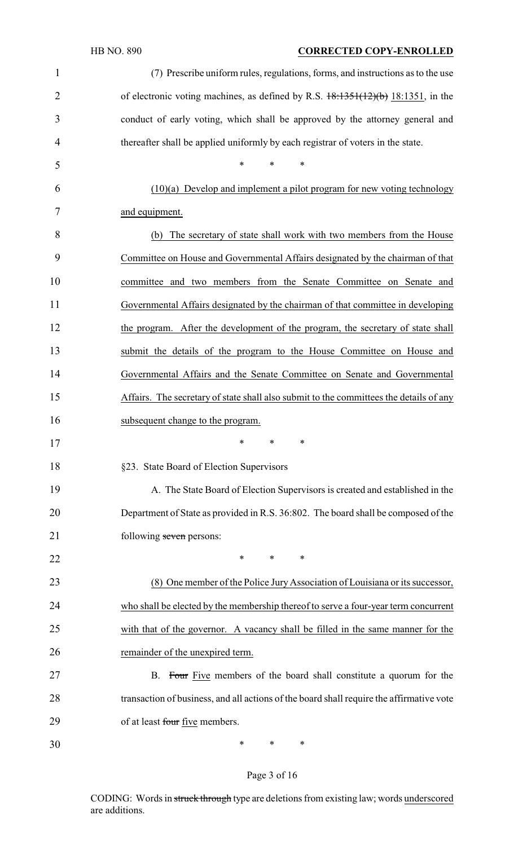### HB NO. 890 **CORRECTED COPY-ENROLLED**

| $\mathbf{1}$   | (7) Prescribe uniform rules, regulations, forms, and instructions as to the use             |
|----------------|---------------------------------------------------------------------------------------------|
| $\overline{2}$ | of electronic voting machines, as defined by R.S. $\frac{18.1351(12)(b)}{18.1351}$ , in the |
| 3              | conduct of early voting, which shall be approved by the attorney general and                |
| 4              | thereafter shall be applied uniformly by each registrar of voters in the state.             |
| 5              | *<br>*<br>∗                                                                                 |
| 6              | $(10)(a)$ Develop and implement a pilot program for new voting technology                   |
| 7              | and equipment.                                                                              |
| 8              | The secretary of state shall work with two members from the House<br>(b)                    |
| 9              | Committee on House and Governmental Affairs designated by the chairman of that              |
| 10             | committee and two members from the Senate Committee on Senate and                           |
| 11             | Governmental Affairs designated by the chairman of that committee in developing             |
| 12             | the program. After the development of the program, the secretary of state shall             |
| 13             | submit the details of the program to the House Committee on House and                       |
| 14             | Governmental Affairs and the Senate Committee on Senate and Governmental                    |
| 15             | Affairs. The secretary of state shall also submit to the committees the details of any      |
| 16             | subsequent change to the program.                                                           |
| 17             | ∗<br>∗<br>∗                                                                                 |
| 18             | §23. State Board of Election Supervisors                                                    |
| 19             | A. The State Board of Election Supervisors is created and established in the                |
| 20             | Department of State as provided in R.S. 36:802. The board shall be composed of the          |
| 21             | following seven persons:                                                                    |
| 22             | $\ast$<br>$\ast$<br>∗                                                                       |
| 23             | (8) One member of the Police Jury Association of Louisiana or its successor,                |
| 24             | who shall be elected by the membership thereof to serve a four-year term concurrent         |
| 25             | with that of the governor. A vacancy shall be filled in the same manner for the             |
| 26             | remainder of the unexpired term.                                                            |
| 27             | B. Four Five members of the board shall constitute a quorum for the                         |
| 28             | transaction of business, and all actions of the board shall require the affirmative vote    |
| 29             | of at least four five members.                                                              |
| 30             | ∗<br>∗<br>∗                                                                                 |

# Page 3 of 16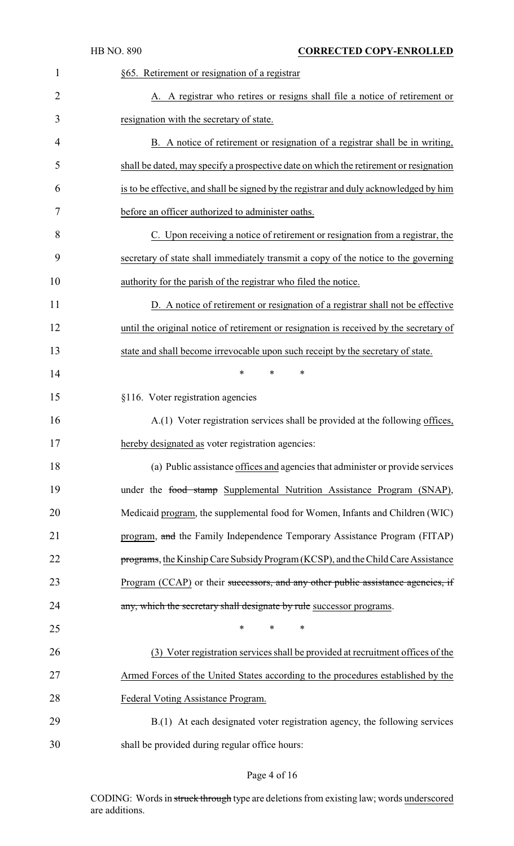|                | <b>HB NO. 890</b> | <b>CORRECTED COPY-ENROLLED</b>                                                         |
|----------------|-------------------|----------------------------------------------------------------------------------------|
| 1              |                   | §65. Retirement or resignation of a registrar                                          |
| $\overline{2}$ |                   | A. A registrar who retires or resigns shall file a notice of retirement or             |
| 3              |                   | resignation with the secretary of state.                                               |
| 4              |                   | B. A notice of retirement or resignation of a registrar shall be in writing,           |
| 5              |                   | shall be dated, may specify a prospective date on which the retirement or resignation  |
| 6              |                   | is to be effective, and shall be signed by the registrar and duly acknowledged by him  |
| 7              |                   | before an officer authorized to administer oaths.                                      |
| 8              |                   | C. Upon receiving a notice of retirement or resignation from a registrar, the          |
| 9              |                   | secretary of state shall immediately transmit a copy of the notice to the governing    |
| 10             |                   | authority for the parish of the registrar who filed the notice.                        |
| 11             |                   | D. A notice of retirement or resignation of a registrar shall not be effective         |
| 12             |                   | until the original notice of retirement or resignation is received by the secretary of |
| 13             |                   | state and shall become irrevocable upon such receipt by the secretary of state.        |
| 14             |                   | *<br>*<br>*                                                                            |
| 15             |                   | §116. Voter registration agencies                                                      |
| 16             |                   | A.(1) Voter registration services shall be provided at the following offices,          |
| 17             |                   | hereby designated as voter registration agencies:                                      |
| 18             |                   | (a) Public assistance offices and agencies that administer or provide services         |
| 19             |                   | under the food stamp Supplemental Nutrition Assistance Program (SNAP),                 |
| 20             |                   | Medicaid program, the supplemental food for Women, Infants and Children (WIC)          |
| 21             |                   | program, and the Family Independence Temporary Assistance Program (FITAP)              |
| 22             |                   | programs, the Kinship Care Subsidy Program (KCSP), and the Child Care Assistance       |
| 23             |                   | Program (CCAP) or their successors, and any other public assistance agencies, if       |
| 24             |                   | any, which the secretary shall designate by rule successor programs.                   |
| 25             |                   | $\ast$<br>*<br>∗                                                                       |
| 26             |                   | (3) Voter registration services shall be provided at recruitment offices of the        |
| 27             |                   | Armed Forces of the United States according to the procedures established by the       |
| 28             |                   | Federal Voting Assistance Program.                                                     |
| 29             |                   | B.(1) At each designated voter registration agency, the following services             |
| 30             |                   | shall be provided during regular office hours:                                         |

# Page 4 of 16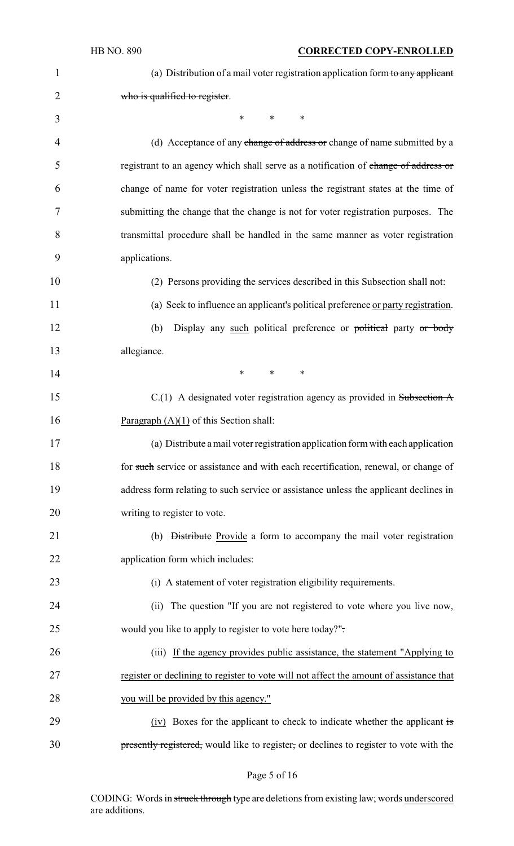| $\mathbf{1}$   | (a) Distribution of a mail voter registration application form to any applicant         |
|----------------|-----------------------------------------------------------------------------------------|
| $\overline{2}$ | who is qualified to register.                                                           |
| 3              | *<br>$*$ and $*$<br>$\ast$                                                              |
| 4              | (d) Acceptance of any change of address or change of name submitted by a                |
| 5              | registrant to an agency which shall serve as a notification of change of address or     |
| 6              | change of name for voter registration unless the registrant states at the time of       |
| 7              | submitting the change that the change is not for voter registration purposes. The       |
| 8              | transmittal procedure shall be handled in the same manner as voter registration         |
| 9              | applications.                                                                           |
| 10             | (2) Persons providing the services described in this Subsection shall not:              |
| 11             | (a) Seek to influence an applicant's political preference or party registration.        |
| 12             | Display any such political preference or political party or body<br>(b)                 |
| 13             | allegiance.                                                                             |
| 14             | $\ast$<br>$*$ $*$<br>$\ast$                                                             |
| 15             | $C(1)$ A designated voter registration agency as provided in Subsection A               |
| 16             | Paragraph $(A)(1)$ of this Section shall:                                               |
| 17             | (a) Distribute a mail voter registration application form with each application         |
| 18             | for such service or assistance and with each recertification, renewal, or change of     |
| 19             | address form relating to such service or assistance unless the applicant declines in    |
| 20             | writing to register to vote.                                                            |
| 21             | (b) Distribute Provide a form to accompany the mail voter registration                  |
| 22             | application form which includes:                                                        |
| 23             | (i) A statement of voter registration eligibility requirements.                         |
| 24             | (ii) The question "If you are not registered to vote where you live now,                |
| 25             | would you like to apply to register to vote here today?".                               |
| 26             | (iii) If the agency provides public assistance, the statement "Applying to              |
| 27             | register or declining to register to vote will not affect the amount of assistance that |
| 28             | you will be provided by this agency."                                                   |
| 29             | (iv) Boxes for the applicant to check to indicate whether the applicant is              |
| 30             | presently registered, would like to register, or declines to register to vote with the  |

Page 5 of 16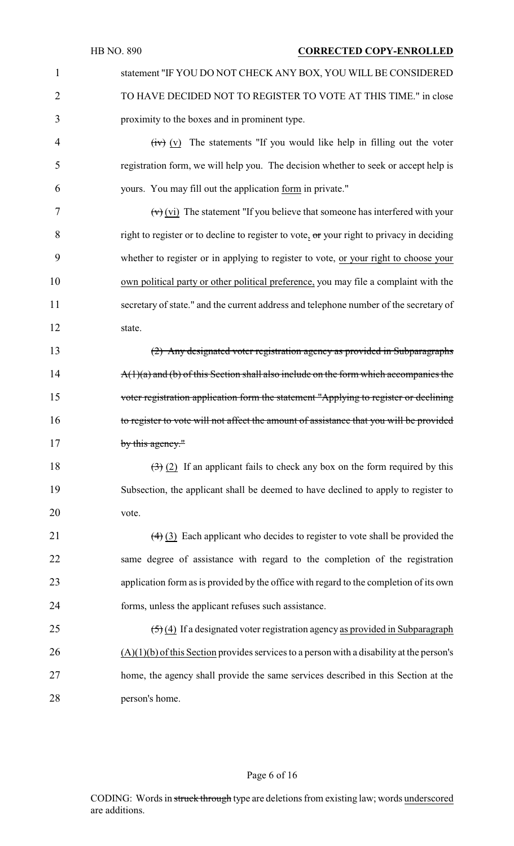1 statement "IF YOU DO NOT CHECK ANY BOX, YOU WILL BE CONSIDERED 2 TO HAVE DECIDED NOT TO REGISTER TO VOTE AT THIS TIME." in close 3 proximity to the boxes and in prominent type.

 $\frac{1}{2}$  (iv)  $\frac{1}{2}$  The statements "If you would like help in filling out the voter 5 registration form, we will help you. The decision whether to seek or accept help is 6 yours. You may fill out the application form in private."

 $(vi)$  The statement "If you believe that someone has interfered with your 8 right to register or to decline to register to vote, or your right to privacy in deciding whether to register or in applying to register to vote, or your right to choose your own political party or other political preference, you may file a complaint with the secretary of state." and the current address and telephone number of the secretary of 12 state.

13 (2) Any designated voter registration agency as provided in Subparagraphs 14 A(1)(a) and (b) of this Section shall also include on the form which accompanies the 15 voter registration application form the statement "Applying to register or declining 16 to register to vote will not affect the amount of assistance that you will be provided 17 by this agency."

18  $(3)$  (2) If an applicant fails to check any box on the form required by this 19 Subsection, the applicant shall be deemed to have declined to apply to register to 20 vote.

21 (4) (3) Each applicant who decides to register to vote shall be provided the same degree of assistance with regard to the completion of the registration application form as is provided by the office with regard to the completion of its own forms, unless the applicant refuses such assistance.

 $(5)(4)$  If a designated voter registration agency as provided in Subparagraph (A)(1)(b) of this Section provides services to a person with a disability at the person's home, the agency shall provide the same services described in this Section at the person's home.

#### Page 6 of 16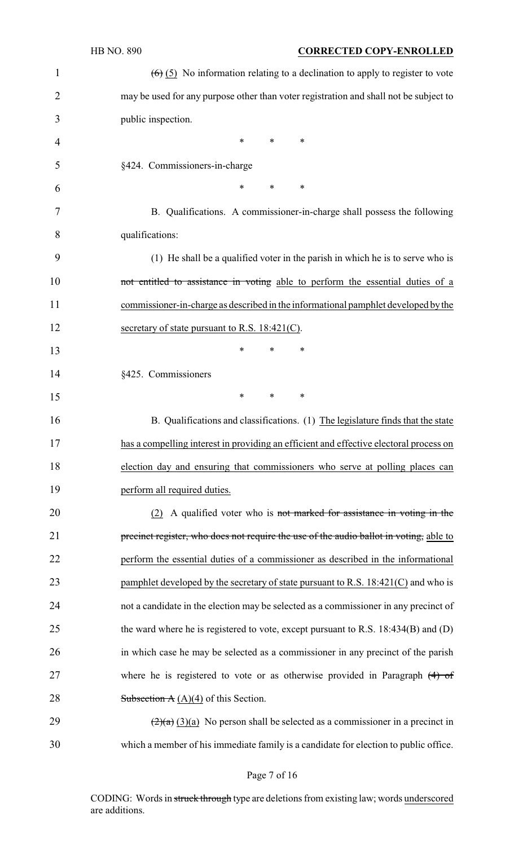|                | <b>HB NO. 890</b><br><b>CORRECTED COPY-ENROLLED</b>                                             |
|----------------|-------------------------------------------------------------------------------------------------|
| $\mathbf 1$    | $(6)$ (5) No information relating to a declination to apply to register to vote                 |
| $\overline{2}$ | may be used for any purpose other than voter registration and shall not be subject to           |
| 3              | public inspection.                                                                              |
| 4              | ∗<br>∗<br>∗                                                                                     |
| 5              | §424. Commissioners-in-charge                                                                   |
| 6              | ∗<br>$\ast$<br>∗                                                                                |
| 7              | B. Qualifications. A commissioner-in-charge shall possess the following                         |
| 8              | qualifications:                                                                                 |
| 9              | (1) He shall be a qualified voter in the parish in which he is to serve who is                  |
| 10             | not entitled to assistance in voting able to perform the essential duties of a                  |
| 11             | commissioner-in-charge as described in the informational pamphlet developed by the              |
| 12             | secretary of state pursuant to R.S. $18:421(C)$ .                                               |
| 13             | *<br>*<br>∗                                                                                     |
| 14             | §425. Commissioners                                                                             |
| 15             | ∗<br>$\ast$<br>∗                                                                                |
| 16             | B. Qualifications and classifications. (1) The legislature finds that the state                 |
| 17             | has a compelling interest in providing an efficient and effective electoral process on          |
| 18             | election day and ensuring that commissioners who serve at polling places can                    |
| 19             | perform all required duties.                                                                    |
| 20             | (2) A qualified voter who is not marked for assistance in voting in the                         |
| 21             | precinct register, who does not require the use of the audio ballot in voting, able to          |
| 22             | perform the essential duties of a commissioner as described in the informational                |
| 23             | pamphlet developed by the secretary of state pursuant to R.S. $18:421(C)$ and who is            |
| 24             | not a candidate in the election may be selected as a commissioner in any precinct of            |
| 25             | the ward where he is registered to vote, except pursuant to R.S. 18:434(B) and (D)              |
| 26             | in which case he may be selected as a commissioner in any precinct of the parish                |
| 27             | where he is registered to vote or as otherwise provided in Paragraph $(4)$ of                   |
| 28             | Subsection $A(A)(4)$ of this Section.                                                           |
| 29             | $\left(\frac{2}{a}\right)(3)(a)$ No person shall be selected as a commissioner in a precinct in |
| 30             | which a member of his immediate family is a candidate for election to public office.            |
|                |                                                                                                 |

Page 7 of 16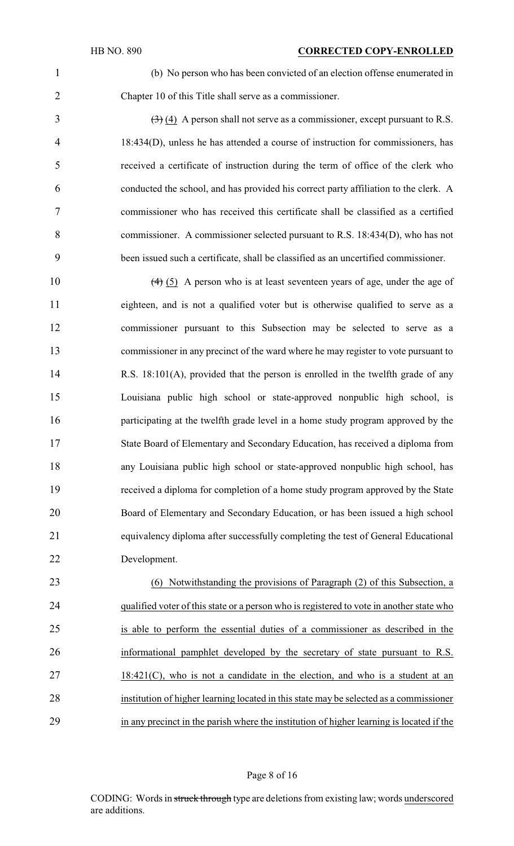(b) No person who has been convicted of an election offense enumerated in Chapter 10 of this Title shall serve as a commissioner.

 $\left(\frac{3}{2}\right)\left(\frac{4}{2}\right)$  A person shall not serve as a commissioner, except pursuant to R.S. 18:434(D), unless he has attended a course of instruction for commissioners, has received a certificate of instruction during the term of office of the clerk who conducted the school, and has provided his correct party affiliation to the clerk. A commissioner who has received this certificate shall be classified as a certified commissioner. A commissioner selected pursuant to R.S. 18:434(D), who has not been issued such a certificate, shall be classified as an uncertified commissioner.

10 (4) (5) A person who is at least seventeen years of age, under the age of eighteen, and is not a qualified voter but is otherwise qualified to serve as a commissioner pursuant to this Subsection may be selected to serve as a commissioner in any precinct of the ward where he may register to vote pursuant to R.S. 18:101(A), provided that the person is enrolled in the twelfth grade of any Louisiana public high school or state-approved nonpublic high school, is participating at the twelfth grade level in a home study program approved by the State Board of Elementary and Secondary Education, has received a diploma from any Louisiana public high school or state-approved nonpublic high school, has received a diploma for completion of a home study program approved by the State Board of Elementary and Secondary Education, or has been issued a high school equivalency diploma after successfully completing the test of General Educational Development.

 (6) Notwithstanding the provisions of Paragraph (2) of this Subsection, a qualified voter of this state or a person who is registered to vote in another state who is able to perform the essential duties of a commissioner as described in the informational pamphlet developed by the secretary of state pursuant to R.S. 18:421(C), who is not a candidate in the election, and who is a student at an institution of higher learning located in this state may be selected as a commissioner in any precinct in the parish where the institution of higher learning is located if the

#### Page 8 of 16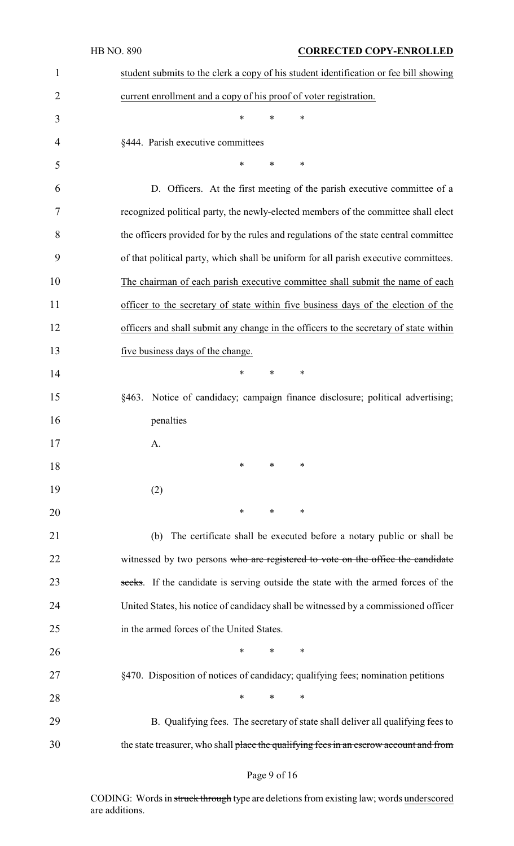|                | HB NO. 890<br><b>CORRECTED COPY-ENROLLED</b>                                           |
|----------------|----------------------------------------------------------------------------------------|
| 1              | student submits to the clerk a copy of his student identification or fee bill showing  |
| $\overline{2}$ | current enrollment and a copy of his proof of voter registration.                      |
| 3              | $\ast$<br>$\ast$<br>∗                                                                  |
| $\overline{4}$ | §444. Parish executive committees                                                      |
| 5              | *<br>$\ast$<br>∗                                                                       |
| 6              | D. Officers. At the first meeting of the parish executive committee of a               |
| 7              | recognized political party, the newly-elected members of the committee shall elect     |
| 8              | the officers provided for by the rules and regulations of the state central committee  |
| 9              | of that political party, which shall be uniform for all parish executive committees.   |
| 10             | The chairman of each parish executive committee shall submit the name of each          |
| 11             | officer to the secretary of state within five business days of the election of the     |
| 12             | officers and shall submit any change in the officers to the secretary of state within  |
| 13             | five business days of the change.                                                      |
| 14             | $\ast$<br>$\ast$<br>$\ast$                                                             |
| 15             | §463. Notice of candidacy; campaign finance disclosure; political advertising;         |
| 16             | penalties                                                                              |
| 17             | A.                                                                                     |
| 18             | ∗<br>∗<br>∗                                                                            |
| 19             | (2)                                                                                    |
| 20             | ∗<br>∗<br>∗                                                                            |
| 21             | The certificate shall be executed before a notary public or shall be<br>(b)            |
| 22             | witnessed by two persons who are registered to vote on the office the candidate        |
| 23             | seeks. If the candidate is serving outside the state with the armed forces of the      |
| 24             | United States, his notice of candidacy shall be witnessed by a commissioned officer    |
| 25             | in the armed forces of the United States.                                              |
| 26             | $\ast$<br>$\ast$<br>$\ast$                                                             |
| 27             | §470. Disposition of notices of candidacy; qualifying fees; nomination petitions       |
| 28             | $\ast$<br>$\ast$<br>∗                                                                  |
| 29             | B. Qualifying fees. The secretary of state shall deliver all qualifying fees to        |
| 30             | the state treasurer, who shall place the qualifying fees in an escrow account and from |

# Page 9 of 16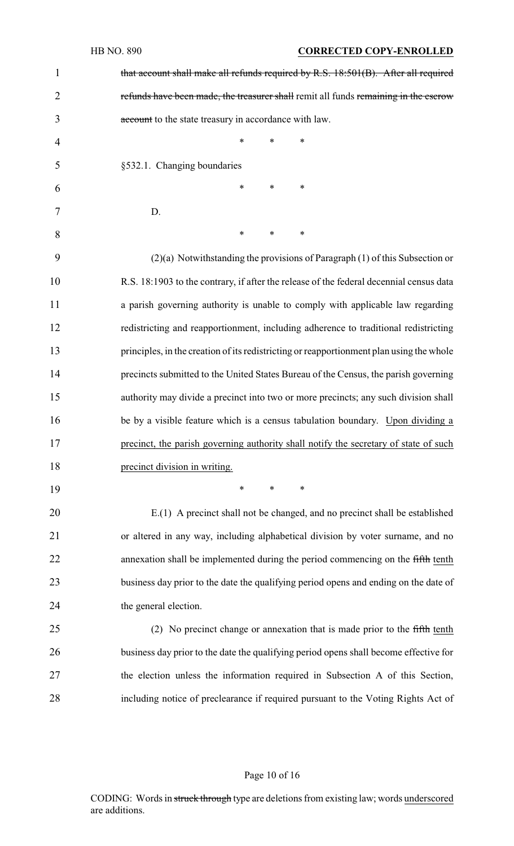|                | <b>HB NO. 890</b><br><b>CORRECTED COPY-ENROLLED</b>                                      |
|----------------|------------------------------------------------------------------------------------------|
| $\mathbf{1}$   | that account shall make all refunds required by R.S. 18:501(B). After all required       |
| $\overline{2}$ | refunds have been made, the treasurer shall remit all funds remaining in the escrow      |
| 3              | account to the state treasury in accordance with law.                                    |
| 4              | $\ast$<br>∗<br>*                                                                         |
| 5              | §532.1. Changing boundaries                                                              |
| 6              | $\ast$<br>*<br>∗                                                                         |
| 7              | D.                                                                                       |
| 8              | ∗<br>∗<br>∗                                                                              |
| 9              | $(2)(a)$ Notwithstanding the provisions of Paragraph $(1)$ of this Subsection or         |
| 10             | R.S. 18:1903 to the contrary, if after the release of the federal decennial census data  |
| 11             | a parish governing authority is unable to comply with applicable law regarding           |
| 12             | redistricting and reapportionment, including adherence to traditional redistricting      |
| 13             | principles, in the creation of its redistricting or reapportionment plan using the whole |
| 14             | precincts submitted to the United States Bureau of the Census, the parish governing      |
| 15             | authority may divide a precinct into two or more precincts; any such division shall      |
| 16             | be by a visible feature which is a census tabulation boundary. Upon dividing a           |
| 17             | precinct, the parish governing authority shall notify the secretary of state of such     |
| 18             | precinct division in writing.                                                            |
| 19             | ∗<br>∗<br>∗                                                                              |
| 20             | E.(1) A precinct shall not be changed, and no precinct shall be established              |
| 21             | or altered in any way, including alphabetical division by voter surname, and no          |
| 22             | annexation shall be implemented during the period commencing on the fifth tenth          |
| 23             | business day prior to the date the qualifying period opens and ending on the date of     |
| 24             | the general election.                                                                    |
| 25             | (2) No precinct change or annexation that is made prior to the fifth tenth               |
| 26             | business day prior to the date the qualifying period opens shall become effective for    |
| 27             | the election unless the information required in Subsection A of this Section,            |
| 28             | including notice of preclearance if required pursuant to the Voting Rights Act of        |
|                |                                                                                          |

# Page 10 of 16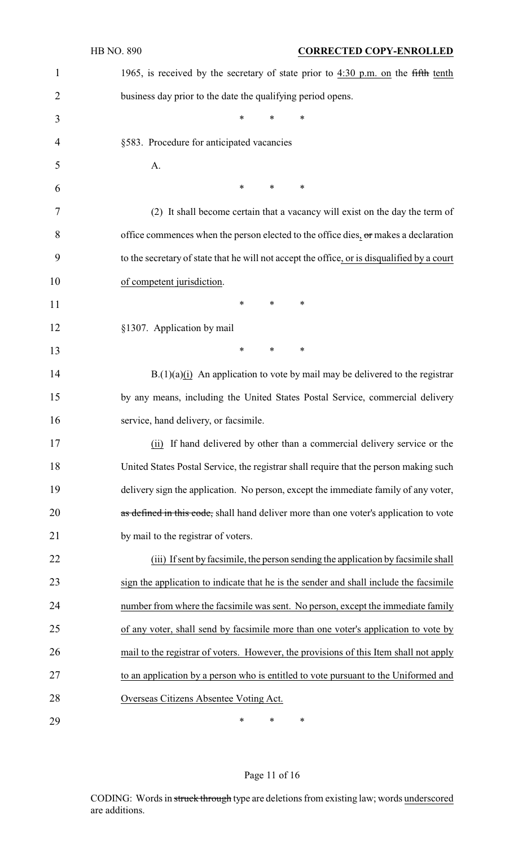|                | HB NO. 890<br><b>CORRECTED COPY-ENROLLED</b>                                                |
|----------------|---------------------------------------------------------------------------------------------|
| 1              | 1965, is received by the secretary of state prior to $4:30$ p.m. on the fifth tenth         |
| $\overline{2}$ | business day prior to the date the qualifying period opens.                                 |
| 3              | ∗<br>*<br>∗                                                                                 |
| 4              | §583. Procedure for anticipated vacancies                                                   |
| 5              | A.                                                                                          |
| 6              | *<br>*<br>∗                                                                                 |
| 7              | (2) It shall become certain that a vacancy will exist on the day the term of                |
| 8              | office commences when the person elected to the office dies, $\sigma$ r makes a declaration |
| 9              | to the secretary of state that he will not accept the office, or is disqualified by a court |
| 10             | of competent jurisdiction.                                                                  |
| 11             | *<br>$\ast$<br>∗                                                                            |
| 12             | §1307. Application by mail                                                                  |
| 13             | *<br>∗<br>∗                                                                                 |
| 14             | $B(1)(a)(i)$ An application to vote by mail may be delivered to the registrar               |
| 15             | by any means, including the United States Postal Service, commercial delivery               |
| 16             | service, hand delivery, or facsimile.                                                       |
| 17             | (ii) If hand delivered by other than a commercial delivery service or the                   |
| 18             | United States Postal Service, the registrar shall require that the person making such       |
| 19             | delivery sign the application. No person, except the immediate family of any voter,         |
| 20             | as defined in this code, shall hand deliver more than one voter's application to vote       |
| 21             | by mail to the registrar of voters.                                                         |
| 22             | (iii) If sent by facsimile, the person sending the application by facsimile shall           |
| 23             | sign the application to indicate that he is the sender and shall include the facsimile      |
| 24             | number from where the facsimile was sent. No person, except the immediate family            |
| 25             | of any voter, shall send by facsimile more than one voter's application to vote by          |
| 26             | mail to the registrar of voters. However, the provisions of this Item shall not apply       |
| 27             | to an application by a person who is entitled to vote pursuant to the Uniformed and         |
| 28             | Overseas Citizens Absentee Voting Act.                                                      |
| 29             | ∗<br>∗<br>∗                                                                                 |

# Page 11 of 16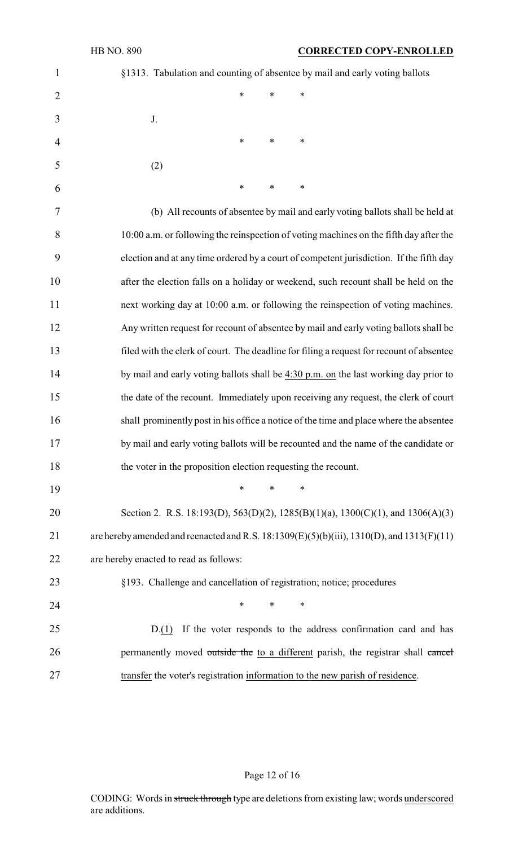| $\mathbf{1}$   | §1313. Tabulation and counting of absentee by mail and early voting ballots                       |
|----------------|---------------------------------------------------------------------------------------------------|
| $\overline{2}$ | *<br>*<br>∗                                                                                       |
| 3              | J.                                                                                                |
| 4              | $\ast$<br>$\ast$<br>$\ast$                                                                        |
| 5              | (2)                                                                                               |
| 6              | $\ast$<br>$\ast$<br>$\ast$                                                                        |
| 7              | (b) All recounts of absentee by mail and early voting ballots shall be held at                    |
| 8              | 10:00 a.m. or following the reinspection of voting machines on the fifth day after the            |
| 9              | election and at any time ordered by a court of competent jurisdiction. If the fifth day           |
| 10             | after the election falls on a holiday or weekend, such recount shall be held on the               |
| 11             | next working day at 10:00 a.m. or following the reinspection of voting machines.                  |
| 12             | Any written request for recount of absentee by mail and early voting ballots shall be             |
| 13             | filed with the clerk of court. The deadline for filing a request for recount of absentee          |
| 14             | by mail and early voting ballots shall be 4:30 p.m. on the last working day prior to              |
| 15             | the date of the recount. Immediately upon receiving any request, the clerk of court               |
| 16             | shall prominently post in his office a notice of the time and place where the absentee            |
| 17             | by mail and early voting ballots will be recounted and the name of the candidate or               |
| 18             | the voter in the proposition election requesting the recount.                                     |
| 19             | *<br>$\ast$<br>∗                                                                                  |
| 20             | Section 2. R.S. 18:193(D), 563(D)(2), 1285(B)(1)(a), 1300(C)(1), and 1306(A)(3)                   |
| 21             | are hereby amended and reenacted and R.S. $18:1309(E)(5)(b)(iii)$ , $1310(D)$ , and $1313(F)(11)$ |
| 22             | are hereby enacted to read as follows:                                                            |
| 23             | §193. Challenge and cancellation of registration; notice; procedures                              |
| 24             | ∗<br>$\ast$<br>∗                                                                                  |
| 25             | If the voter responds to the address confirmation card and has<br>D(1)                            |
| 26             | permanently moved outside the to a different parish, the registrar shall cancel                   |
| 27             | transfer the voter's registration information to the new parish of residence.                     |

Page 12 of 16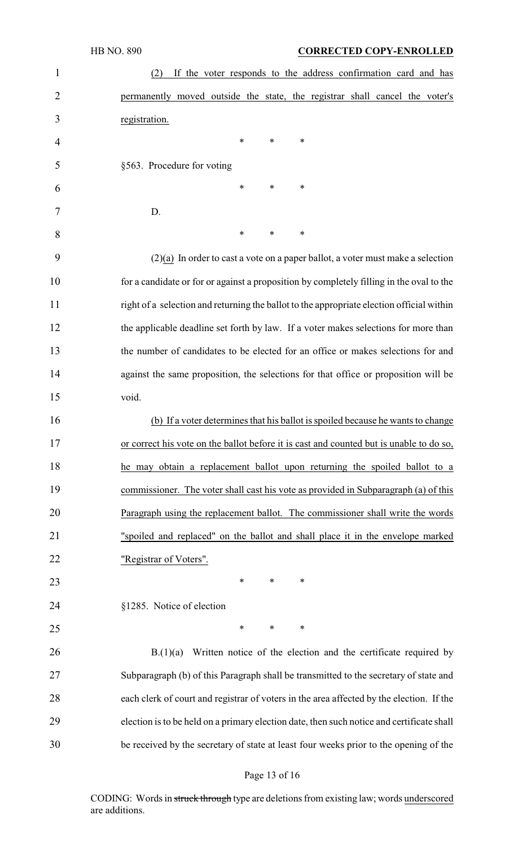| 1              | If the voter responds to the address confirmation card and has<br>(2)                     |
|----------------|-------------------------------------------------------------------------------------------|
| $\overline{2}$ | permanently moved outside the state, the registrar shall cancel the voter's               |
| 3              | registration.                                                                             |
| 4              | ∗<br>∗<br>∗                                                                               |
| 5              | §563. Procedure for voting                                                                |
| 6              | $\ast$<br>*<br>∗                                                                          |
| 7              | D.                                                                                        |
| 8              | ∗<br>∗<br>∗                                                                               |
| 9              | $(2)(a)$ In order to cast a vote on a paper ballot, a voter must make a selection         |
| 10             | for a candidate or for or against a proposition by completely filling in the oval to the  |
| 11             | right of a selection and returning the ballot to the appropriate election official within |
| 12             | the applicable deadline set forth by law. If a voter makes selections for more than       |
| 13             | the number of candidates to be elected for an office or makes selections for and          |
| 14             | against the same proposition, the selections for that office or proposition will be       |
| 15             | void.                                                                                     |
| 16             | (b) If a voter determines that his ballot is spoiled because he wants to change           |
| 17             | or correct his vote on the ballot before it is cast and counted but is unable to do so,   |
| 18             | he may obtain a replacement ballot upon returning the spoiled ballot to a                 |
| 19             | commissioner. The voter shall cast his vote as provided in Subparagraph (a) of this       |
| 20             | Paragraph using the replacement ballot. The commissioner shall write the words            |
| 21             | "spoiled and replaced" on the ballot and shall place it in the envelope marked            |
| 22             | "Registrar of Voters".                                                                    |
| 23             | ∗<br>$\ast$<br>∗                                                                          |
| 24             | §1285. Notice of election                                                                 |
| 25             | $\ast$<br>*<br>∗                                                                          |
| 26             | Written notice of the election and the certificate required by<br>B(1)(a)                 |
| 27             | Subparagraph (b) of this Paragraph shall be transmitted to the secretary of state and     |
| 28             | each clerk of court and registrar of voters in the area affected by the election. If the  |
| 29             | election is to be held on a primary election date, then such notice and certificate shall |
| 30             | be received by the secretary of state at least four weeks prior to the opening of the     |

# Page 13 of 16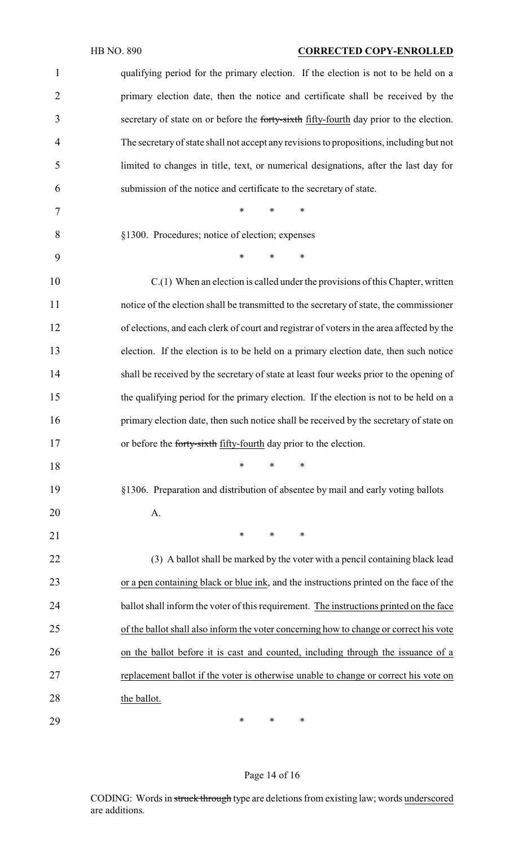## HB NO. 890 **CORRECTED COPY-ENROLLED**

| $\mathbf{1}$   | qualifying period for the primary election. If the election is not to be held on a        |
|----------------|-------------------------------------------------------------------------------------------|
| $\overline{2}$ | primary election date, then the notice and certificate shall be received by the           |
| 3              | secretary of state on or before the forty-sixth fifty-fourth day prior to the election.   |
| $\overline{4}$ | The secretary of state shall not accept any revisions to propositions, including but not  |
| 5              | limited to changes in title, text, or numerical designations, after the last day for      |
| 6              | submission of the notice and certificate to the secretary of state.                       |
| 7              | $\ast$<br>$\ast$<br>$\ast$                                                                |
| 8              | §1300. Procedures; notice of election; expenses                                           |
| 9              | $\ast$<br>$\ast$<br>$\ast$                                                                |
| 10             | $C(1)$ When an election is called under the provisions of this Chapter, written           |
| 11             | notice of the election shall be transmitted to the secretary of state, the commissioner   |
| 12             | of elections, and each clerk of court and registrar of voters in the area affected by the |
| 13             | election. If the election is to be held on a primary election date, then such notice      |
| 14             | shall be received by the secretary of state at least four weeks prior to the opening of   |
| 15             | the qualifying period for the primary election. If the election is not to be held on a    |
| 16             | primary election date, then such notice shall be received by the secretary of state on    |
| 17             | or before the forty-sixth fifty-fourth day prior to the election.                         |
| 18             | $\ast$<br>$\ast$<br>∗                                                                     |
| 19             | §1306. Preparation and distribution of absentee by mail and early voting ballots          |
| 20             | A.                                                                                        |
| 21             | $\ast$<br>*<br>∗                                                                          |
| 22             | (3) A ballot shall be marked by the voter with a pencil containing black lead             |
| 23             | or a pen containing black or blue ink, and the instructions printed on the face of the    |
| 24             | ballot shall inform the voter of this requirement. The instructions printed on the face   |
| 25             | of the ballot shall also inform the voter concerning how to change or correct his vote    |
| 26             | on the ballot before it is cast and counted, including through the issuance of a          |
| 27             | replacement ballot if the voter is otherwise unable to change or correct his vote on      |
| 28             | the ballot.                                                                               |
| 29             | ∗<br>$\ast$<br>∗                                                                          |

#### Page 14 of 16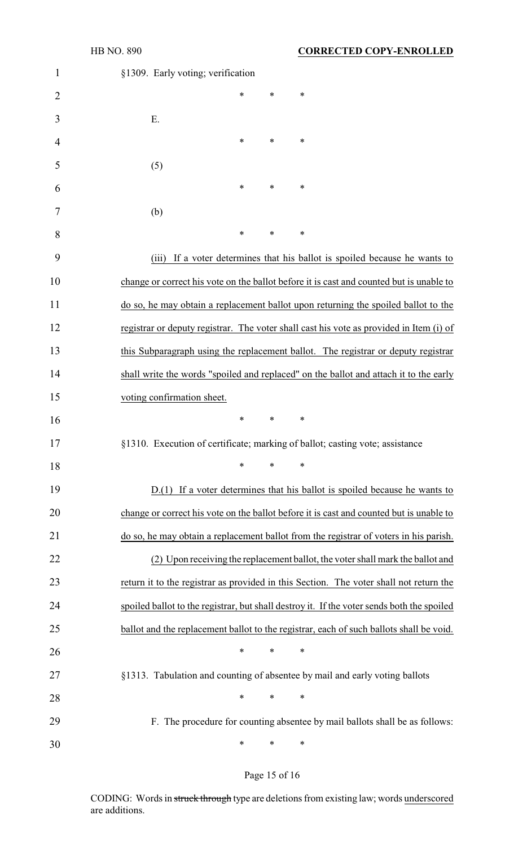| $\mathbf{1}$   | §1309. Early voting; verification                                                          |
|----------------|--------------------------------------------------------------------------------------------|
| $\overline{2}$ | $\ast$<br>∗<br>∗                                                                           |
| 3              | E.                                                                                         |
| 4              | ∗<br>∗<br>∗                                                                                |
| 5              | (5)                                                                                        |
| 6              | ∗<br>∗<br>∗                                                                                |
| 7              | (b)                                                                                        |
| 8              | ∗<br>∗<br>∗                                                                                |
| 9              | If a voter determines that his ballot is spoiled because he wants to<br>(iii)              |
| 10             | change or correct his vote on the ballot before it is cast and counted but is unable to    |
| 11             | do so, he may obtain a replacement ballot upon returning the spoiled ballot to the         |
| 12             | registrar or deputy registrar. The voter shall cast his vote as provided in Item (i) of    |
| 13             | this Subparagraph using the replacement ballot. The registrar or deputy registrar          |
| 14             | shall write the words "spoiled and replaced" on the ballot and attach it to the early      |
| 15             | voting confirmation sheet.                                                                 |
| 16             | *<br>∗<br>∗                                                                                |
| 17             | §1310. Execution of certificate; marking of ballot; casting vote; assistance               |
| 18             | $\ast$<br>*<br>∗                                                                           |
| 19             | $D(1)$ If a voter determines that his ballot is spoiled because he wants to                |
| 20             | change or correct his vote on the ballot before it is cast and counted but is unable to    |
| 21             | do so, he may obtain a replacement ballot from the registrar of voters in his parish.      |
| 22             | (2) Upon receiving the replacement ballot, the voter shall mark the ballot and             |
| 23             | return it to the registrar as provided in this Section. The voter shall not return the     |
| 24             | spoiled ballot to the registrar, but shall destroy it. If the voter sends both the spoiled |
| 25             | ballot and the replacement ballot to the registrar, each of such ballots shall be void.    |
| 26             | ∗<br>∗<br>∗                                                                                |
| 27             | §1313. Tabulation and counting of absentee by mail and early voting ballots                |
| 28             | ∗<br>$\ast$<br>∗                                                                           |
| 29             | F. The procedure for counting absentee by mail ballots shall be as follows:                |
| 30             | ∗<br>∗<br>∗                                                                                |

# Page 15 of 16